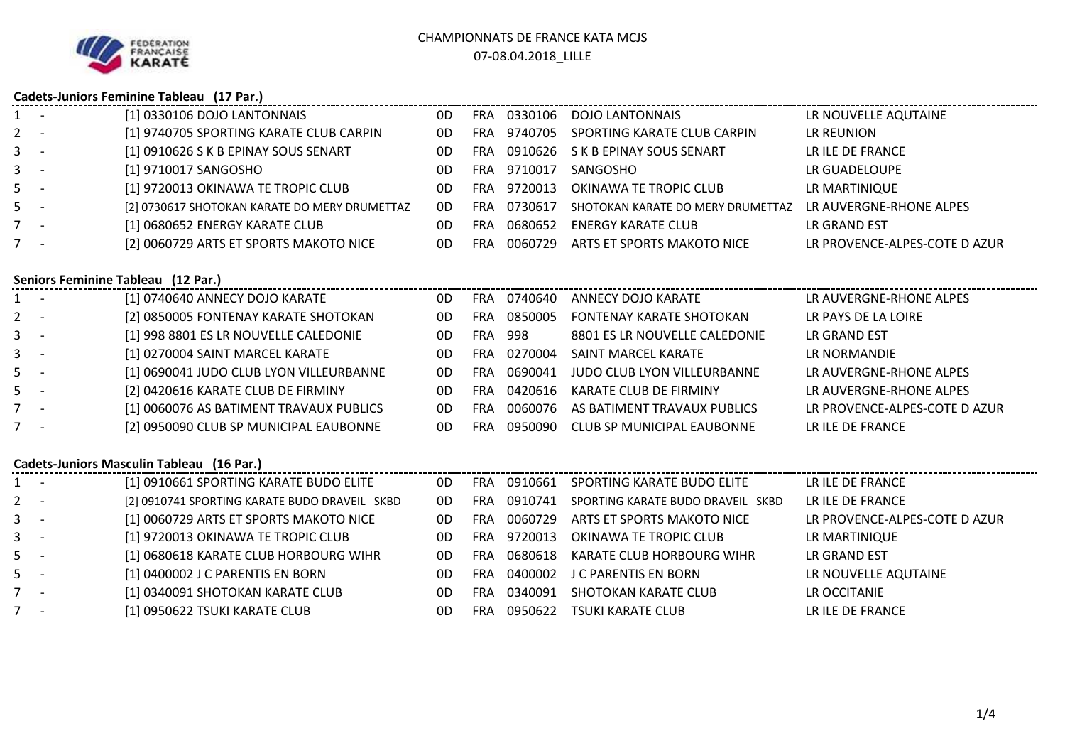

## **Cadets-Juniors Feminine Tableau (17 Par.)**

|         | Caucus-Juliiuls Felliiliile Tableau (17 Fal.) |                                               |     |            |         |                                   |                               |  |  |  |
|---------|-----------------------------------------------|-----------------------------------------------|-----|------------|---------|-----------------------------------|-------------------------------|--|--|--|
| $1 -$   |                                               | [1] 0330106 DOJO LANTONNAIS                   | 0D  | <b>FRA</b> | 0330106 | DOJO LANTONNAIS                   | LR NOUVELLE AQUTAINE          |  |  |  |
| $2 -$   |                                               | [1] 9740705 SPORTING KARATE CLUB CARPIN       | 0D  | FRA.       | 9740705 | SPORTING KARATE CLUB CARPIN       | LR REUNION                    |  |  |  |
| $3 - 1$ |                                               | [1] 0910626 S K B EPINAY SOUS SENART          | 0D  | <b>FRA</b> | 0910626 | S K B EPINAY SOUS SENART          | LR ILE DE FRANCE              |  |  |  |
| $3 - 1$ |                                               | [1] 9710017 SANGOSHO                          | 0D. | FRA.       | 9710017 | SANGOSHO                          | LR GUADELOUPE                 |  |  |  |
| $5 -$   |                                               | [1] 9720013 OKINAWA TE TROPIC CLUB            | 0D. | FRA.       | 9720013 | OKINAWA TE TROPIC CLUB            | LR MARTINIQUE                 |  |  |  |
| $5 -$   |                                               | [2] 0730617 SHOTOKAN KARATE DO MERY DRUMETTAZ | 0D  | <b>FRA</b> | 0730617 | SHOTOKAN KARATE DO MERY DRUMETTAZ | LR AUVERGNE-RHONE ALPES       |  |  |  |
| $7 -$   |                                               | [1] 0680652 ENERGY KARATE CLUB                | 0D  | FRA        | 0680652 | ENERGY KARATE CLUB                | LR GRAND EST                  |  |  |  |
| $7 -$   |                                               | [2] 0060729 ARTS ET SPORTS MAKOTO NICE        | 0D. | FRA.       | 0060729 | ARTS ET SPORTS MAKOTO NICE        | LR PROVENCE-ALPES-COTE D AZUR |  |  |  |
|         |                                               |                                               |     |            |         |                                   |                               |  |  |  |

## **Seniors Feminine Tableau (12 Par.)**

| $1 -$ | [1] 0740640 ANNECY DOJO KARATE          | 0D | FRA        | 0740640 | ANNECY DOJO KARATE                | LR AUVERGNE-RHONE ALPES       |
|-------|-----------------------------------------|----|------------|---------|-----------------------------------|-------------------------------|
| $2 -$ | [2] 0850005 FONTENAY KARATE SHOTOKAN    | 0D | FRA        | 0850005 | <b>FONTENAY KARATE SHOTOKAN</b>   | LR PAYS DE LA LOIRE           |
| $3 -$ | [1] 998 8801 ES LR NOUVELLE CALEDONIE   | 0D | <b>FRA</b> | 998     | 8801 ES LR NOUVELLE CALEDONIE     | LR GRAND EST                  |
| $3 -$ | [1] 0270004 SAINT MARCEL KARATE         | 0D | FRA        | 0270004 | SAINT MARCEL KARATE               | LR NORMANDIE                  |
| $5 -$ | [1] 0690041 JUDO CLUB LYON VILLEURBANNE | 0D | FRA        | 0690041 | JUDO CLUB LYON VILLEURBANNE       | LR AUVERGNE-RHONE ALPES       |
| $5 -$ | [2] 0420616 KARATE CLUB DE FIRMINY      | 0D | FRA        | 0420616 | KARATE CLUB DE FIRMINY            | LR AUVERGNE-RHONE ALPES       |
| 7 -   | [1] 0060076 AS BATIMENT TRAVAUX PUBLICS | 0D | FRA        | 0060076 | AS BATIMENT TRAVAUX PUBLICS       | LR PROVENCE-ALPES-COTE D AZUR |
| $7 -$ | [2] 0950090 CLUB SP MUNICIPAL EAUBONNE  | 0D | FRA        | 0950090 | <b>CLUB SP MUNICIPAL EAUBONNE</b> | LR ILE DE FRANCE              |

### **Cadets-Juniors Masculin Tableau (16 Par.)**

| $1 -$ | [1] 0910661 SPORTING KARATE BUDO ELITE        | 0D  | FRA        | 0910661 | SPORTING KARATE BUDO ELITE        | LR ILE DE FRANCE              |
|-------|-----------------------------------------------|-----|------------|---------|-----------------------------------|-------------------------------|
| $2 -$ | [2] 0910741 SPORTING KARATE BUDO DRAVEIL SKBD | 0D  | <b>FRA</b> | 0910741 | SPORTING KARATE BUDO DRAVEIL SKBD | LR ILE DE FRANCE              |
| $3 -$ | [1] 0060729 ARTS ET SPORTS MAKOTO NICE        | 0D  | <b>FRA</b> | 0060729 | ARTS ET SPORTS MAKOTO NICE        | LR PROVENCE-ALPES-COTE D AZUR |
| $3 -$ | [1] 9720013 OKINAWA TE TROPIC CLUB            | 0D  | <b>FRA</b> | 9720013 | OKINAWA TE TROPIC CLUB            | LR MARTINIQUE                 |
| $5 -$ | [1] 0680618 KARATE CLUB HORBOURG WIHR         | 0D  | FRA        | 0680618 | KARATE CLUB HORBOURG WIHR         | LR GRAND EST                  |
| $5 -$ | [1] 0400002 J C PARENTIS EN BORN              | 0D. | <b>FRA</b> | 0400002 | J C PARENTIS EN BORN              | LR NOUVELLE AQUTAINE          |
| $7 -$ | [1] 0340091 SHOTOKAN KARATE CLUB              | 0D  | <b>FRA</b> | 0340091 | SHOTOKAN KARATE CLUB              | LR OCCITANIE                  |
| $7 -$ | [1] 0950622 TSUKI KARATE CLUB                 | 0D  | FRA        | 0950622 | TSUKI KARATE CLUB                 | LR ILE DE FRANCE              |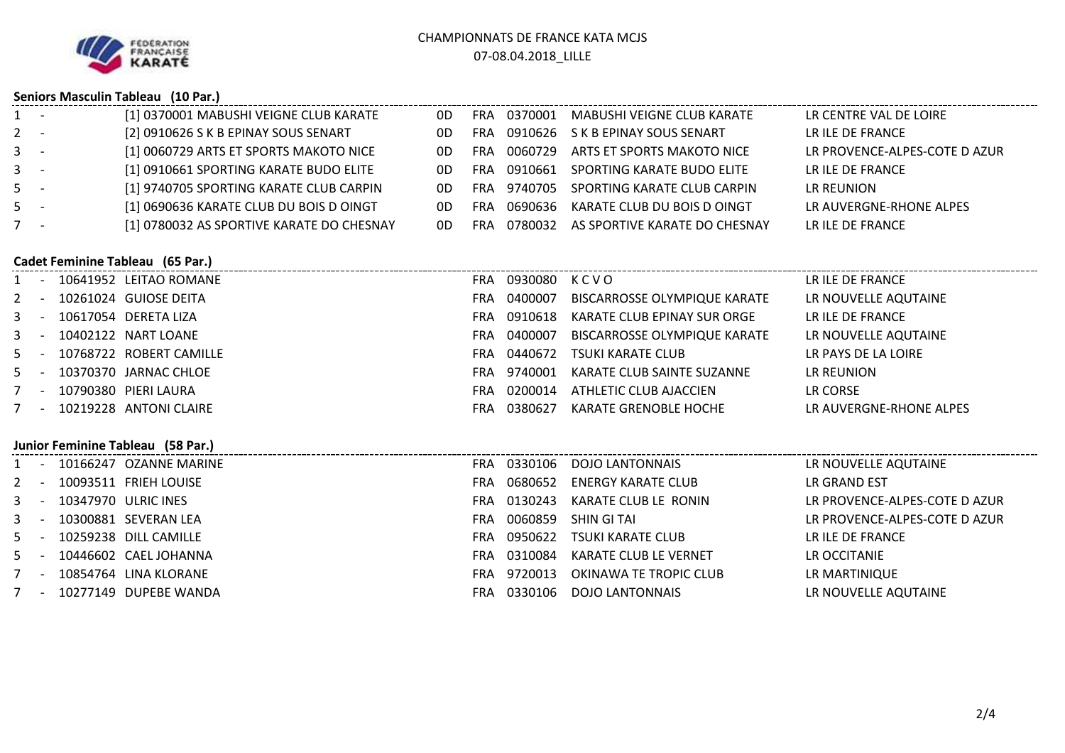

# **Seniors Masculin Tableau (10 Par.)**

| $1 -$   | [1] 0370001 MABUSHI VEIGNE CLUB KARATE    | 0D  | <b>FRA</b> |         | 0370001 MABUSHI VEIGNE CLUB KARATE | LR CENTRE VAL DE LOIRE        |
|---------|-------------------------------------------|-----|------------|---------|------------------------------------|-------------------------------|
| $2 -$   | [2] 0910626 S K B EPINAY SOUS SENART      | 0D  | <b>FRA</b> |         | 0910626 S K B EPINAY SOUS SENART   | LR ILE DE FRANCE              |
| $3 -$   | [1] 0060729 ARTS ET SPORTS MAKOTO NICE    | 0D. | <b>FRA</b> | 0060729 | ARTS ET SPORTS MAKOTO NICE         | LR PROVENCE-ALPES-COTE D AZUR |
| $3 - 1$ | [1] 0910661 SPORTING KARATE BUDO ELITE    | 0D. | <b>FRA</b> | 0910661 | SPORTING KARATE BUDO ELITE         | LR ILE DE FRANCE              |
| $5 -$   | [1] 9740705 SPORTING KARATE CLUB CARPIN   | 0D. | <b>FRA</b> | 9740705 | SPORTING KARATE CLUB CARPIN        | LR REUNION                    |
| $5 -$   | [1] 0690636 KARATE CLUB DU BOIS D OINGT   | 0D. | FRA        | 0690636 | KARATE CLUB DU BOIS D OINGT        | LR AUVERGNE-RHONE ALPES       |
| $7 -$   | [1] 0780032 AS SPORTIVE KARATE DO CHESNAY | 0D. | FRA        | 0780032 | AS SPORTIVE KARATE DO CHESNAY      | LR ILE DE FRANCE              |

# **Cadet Feminine Tableau (65 Par.)**

| $1 -$   |                                   |  | 10641952 LEITAO ROMANE  | FRA. | 0930080     | KCVO                         | LR ILE DE FRANCE        |  |  |
|---------|-----------------------------------|--|-------------------------|------|-------------|------------------------------|-------------------------|--|--|
| $2 -$   |                                   |  | 10261024 GUIOSE DEITA   | FRA. | 0400007     | BISCARROSSE OLYMPIQUE KARATE | LR NOUVELLE AQUTAINE    |  |  |
| $3 - 1$ |                                   |  | 10617054 DERETA LIZA    | FRA  | 0910618     | KARATE CLUB EPINAY SUR ORGE  | LR ILE DE FRANCE        |  |  |
| $3 - -$ |                                   |  | 10402122 NART LOANE     | FRA. | 0400007     | BISCARROSSE OLYMPIQUE KARATE | LR NOUVELLE AQUTAINE    |  |  |
| $5 - -$ |                                   |  | 10768722 ROBERT CAMILLE | FRA  | 0440672     | TSUKI KARATE CLUB            | LR PAYS DE LA LOIRE     |  |  |
| $5 - -$ |                                   |  | 10370370 JARNAC CHLOE   |      | FRA 9740001 | KARATE CLUB SAINTE SUZANNE   | LR REUNION              |  |  |
| 7 -     |                                   |  | 10790380 PIERI LAURA    | FRA  | 0200014     | ATHLETIC CLUB AJACCIEN       | LR CORSE                |  |  |
| $7 -$   |                                   |  | 10219228 ANTONI CLAIRE  | FRA  | 0380627     | KARATE GRENOBLE HOCHE        | LR AUVERGNE-RHONE ALPES |  |  |
|         | Junior Feminine Tableau (58 Par.) |  |                         |      |             |                              |                         |  |  |
|         |                                   |  | 10166247 OZANNE MARINE  | FRA  | 0330106     | DOJO LANTONNAIS              | LR NOUVFLLF AOUTAINF    |  |  |

|       |  | 1 - 10166247 OZANNE MARINE | FRA.       |         | 0330106 DOJO LANTONNAIS       | LR NOUVELLE AQUTAINE          |
|-------|--|----------------------------|------------|---------|-------------------------------|-------------------------------|
| $2 -$ |  | 10093511 FRIEH LOUISE      | <b>FRA</b> | 0680652 | ENERGY KARATE CLUB            | LR GRAND EST                  |
|       |  | 3 - 10347970 ULRIC INES    | <b>FRA</b> |         | 0130243 KARATE CLUB LE RONIN  | LR PROVENCE-ALPES-COTE D AZUR |
|       |  | 3 - 10300881 SEVERAN LEA   | FRA.       | 0060859 | SHIN GI TAI                   | LR PROVENCE-ALPES-COTE D AZUR |
|       |  | 5 - 10259238 DILL CAMILLE  | FRA.       |         | 0950622 TSUKI KARATE CLUB     | LR ILE DE FRANCE              |
|       |  | 5 - 10446602 CAEL JOHANNA  | <b>FRA</b> |         | 0310084 KARATE CLUB LE VERNET | LR OCCITANIE                  |
| $7 -$ |  | 10854764 LINA KLORANE      | FRA.       | 9720013 | OKINAWA TE TROPIC CLUB        | LR MARTINIQUE                 |
|       |  | 7 - 10277149 DUPEBE WANDA  | FRA.       | 0330106 | DOJO LANTONNAIS               | LR NOUVELLE AQUTAINE          |
|       |  |                            |            |         |                               |                               |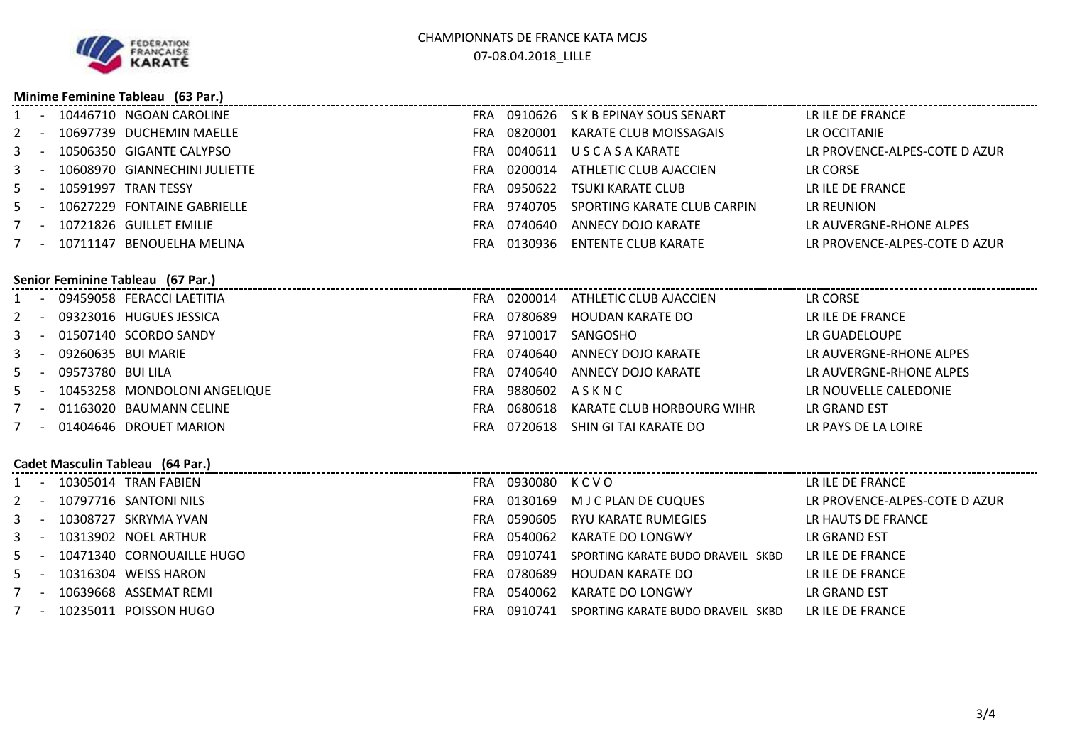

#### **Minime Feminine Tableau (63 Par.)**

|    | 10446710 NGOAN CAROLINE           | <b>FRA</b> | 0910626 | S K B EPINAY SOUS SENART    | LR ILE DE FRANCE              |
|----|-----------------------------------|------------|---------|-----------------------------|-------------------------------|
|    | 10697739 DUCHEMIN MAELLE          | <b>FRA</b> | 0820001 | KARATE CLUB MOISSAGAIS      | LR OCCITANIE                  |
| 3  | 10506350 GIGANTE CALYPSO          | <b>FRA</b> | 0040611 | U S C A S A KARATE          | LR PROVENCE-ALPES-COTE D AZUR |
| 3. | 10608970 GIANNECHINI JULIETTE     | <b>FRA</b> | 0200014 | ATHLETIC CLUB AJACCIEN      | LR CORSE                      |
|    | 10591997 TRAN TESSY               | <b>FRA</b> | 0950622 | TSUKI KARATE CLUB           | LR ILE DE FRANCE              |
| 5. | 10627229 FONTAINE GABRIELLE       | <b>FRA</b> | 9740705 | SPORTING KARATE CLUB CARPIN | LR REUNION                    |
|    | 10721826 GUILLET EMILIE           | <b>FRA</b> | 0740640 | ANNECY DOJO KARATE          | LR AUVERGNE-RHONE ALPES       |
|    | 10711147 BENOUELHA MELINA         | FRA.       | 0130936 | ENTENTE CLUB KARATE         | LR PROVENCE-ALPES-COTE D AZUR |
|    |                                   |            |         |                             |                               |
|    | Senior Feminine Tableau (67 Par.) |            |         |                             |                               |
|    | 09459058 FERACCI LAETITIA         | <b>FRA</b> | 0200014 | ATHLETIC CLUB AJACCIEN      | LR CORSE                      |
|    | 09323016 HUGUES JESSICA           | <b>FRA</b> | 0780689 | HOUDAN KARATE DO            | LR ILE DE FRANCE              |
|    | 01507140 SCORDO SANDY             | <b>FRA</b> | 9710017 | SANGOSHO                    | LR GUADELOUPE                 |
| 3. | 09260635 BUI MARIE                | <b>FRA</b> | 0740640 | ANNECY DOJO KARATE          | LR AUVERGNE-RHONE ALPES       |
| 5. | 09573780 BUI LILA                 | <b>FRA</b> | 0740640 | ANNECY DOJO KARATE          | LR AUVERGNE-RHONE ALPES       |
|    | - 10453258 MONDOLONI ANGELIQUE    | <b>FRA</b> | 9880602 | ASKNC                       | LR NOUVELLE CALEDONIE         |

- 5 <sup>09573780</sup> BUI LILA
- 5 10453258 MONDOLONI ANGELIQUE FRA
- 7 <sup>01163020</sup> BAUMANN CELINE FRA
- 7 <sup>01404646</sup> DROUET MARION

#### **Cadet Masculin Tableau (64 Par.)**

|         | Cadet Masculin Tableau (64 Par.) |  |                               |     |              |                                   |                               |  |  |
|---------|----------------------------------|--|-------------------------------|-----|--------------|-----------------------------------|-------------------------------|--|--|
|         |                                  |  | 10305014 TRAN FABIEN          | FRA | 0930080 KCVO |                                   | LR ILE DE FRANCE              |  |  |
| $2 -$   |                                  |  | 10797716 SANTONI NILS         | FRA | 0130169      | M J C PLAN DE CUQUES              | LR PROVENCE-ALPES-COTE D AZUR |  |  |
| $3 - -$ |                                  |  | 10308727 SKRYMA YVAN          | FRA | 0590605      | RYU KARATE RUMEGIES               | LR HAUTS DE FRANCE            |  |  |
| $3 - 5$ |                                  |  | 10313902 NOEL ARTHUR          | FRA | 0540062      | KARATE DO LONGWY                  | LR GRAND EST                  |  |  |
|         |                                  |  | 5 - 10471340 CORNOUAILLE HUGO | FRA | 0910741      | SPORTING KARATE BUDO DRAVEIL SKBD | LR ILE DE FRANCE              |  |  |
| $5 -$   |                                  |  | 10316304 WEISS HARON          | FRA | 0780689      | HOUDAN KARATE DO                  | LR ILE DE FRANCE              |  |  |
| $7 -$   |                                  |  | 10639668 ASSEMAT REMI         | FRA | 0540062      | KARATE DO LONGWY                  | LR GRAND EST                  |  |  |
| $7 -$   |                                  |  | 10235011 POISSON HUGO         |     | FRA 0910741  | SPORTING KARATE BUDO DRAVEIL SKBD | LR ILE DE FRANCE              |  |  |

FRA 0680618 KARATE CLUB HORBOURG WIHR

FRA <sup>0720618</sup> SHIN GI TAI KARATE DO

7 - <sup>10235011</sup> POISSON HUGO

LR NOUVELLE CALEDONIE<br>LR GRAND EST

LR PAYS DE LA LOIRE